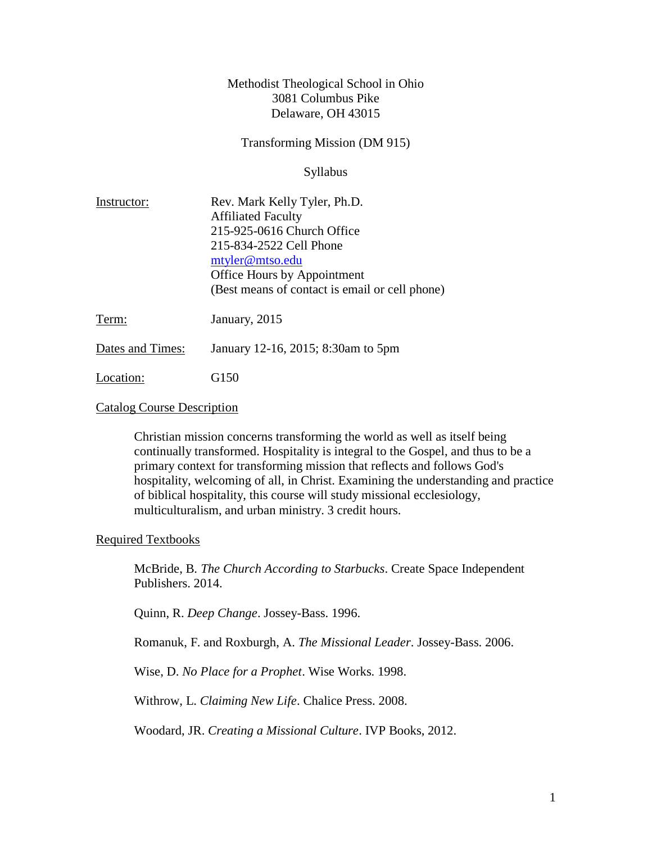### Methodist Theological School in Ohio 3081 Columbus Pike Delaware, OH 43015

Transforming Mission (DM 915)

Syllabus

| Instructor:      | Rev. Mark Kelly Tyler, Ph.D.                   |
|------------------|------------------------------------------------|
|                  | <b>Affiliated Faculty</b>                      |
|                  | 215-925-0616 Church Office                     |
|                  | 215-834-2522 Cell Phone                        |
|                  | mtyler@mtso.edu                                |
|                  | Office Hours by Appointment                    |
|                  | (Best means of contact is email or cell phone) |
| Term:            | January, 2015                                  |
| Dates and Times: | January 12-16, 2015; 8:30am to 5pm             |

Location: G150

#### Catalog Course Description

Christian mission concerns transforming the world as well as itself being continually transformed. Hospitality is integral to the Gospel, and thus to be a primary context for transforming mission that reflects and follows God's hospitality, welcoming of all, in Christ. Examining the understanding and practice of biblical hospitality, this course will study missional ecclesiology, multiculturalism, and urban ministry. 3 credit hours.

### Required Textbooks

McBride, B. *The Church According to Starbucks*. Create Space Independent Publishers. 2014.

Quinn, R. *Deep Change*. Jossey-Bass. 1996.

Romanuk, F. and Roxburgh, A. *The Missional Leader*. Jossey-Bass. 2006.

Wise, D. *No Place for a Prophet*. Wise Works. 1998.

Withrow, L. *Claiming New Life*. Chalice Press. 2008.

Woodard, JR. *Creating a Missional Culture*. IVP Books, 2012.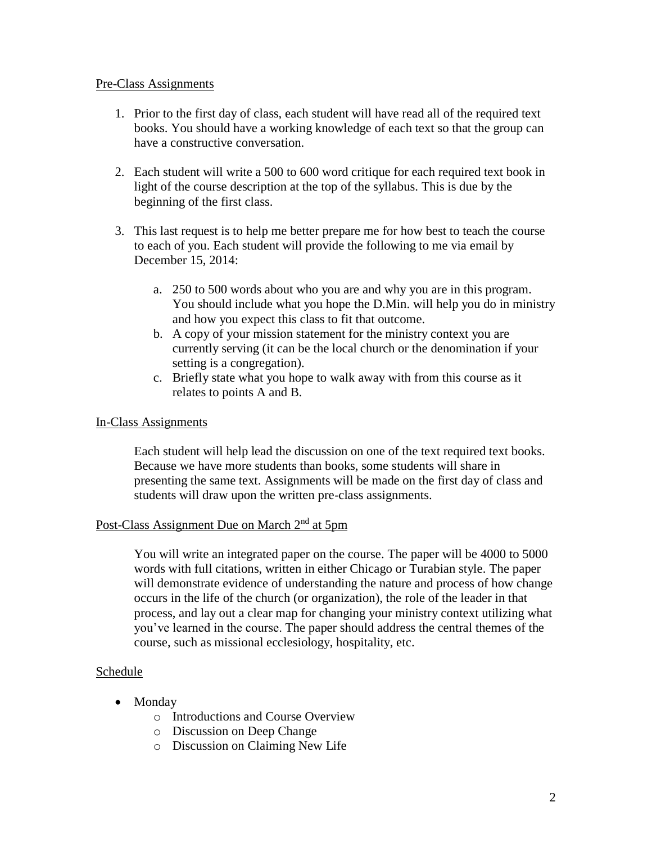#### Pre-Class Assignments

- 1. Prior to the first day of class, each student will have read all of the required text books. You should have a working knowledge of each text so that the group can have a constructive conversation.
- 2. Each student will write a 500 to 600 word critique for each required text book in light of the course description at the top of the syllabus. This is due by the beginning of the first class.
- 3. This last request is to help me better prepare me for how best to teach the course to each of you. Each student will provide the following to me via email by December 15, 2014:
	- a. 250 to 500 words about who you are and why you are in this program. You should include what you hope the D.Min. will help you do in ministry and how you expect this class to fit that outcome.
	- b. A copy of your mission statement for the ministry context you are currently serving (it can be the local church or the denomination if your setting is a congregation).
	- c. Briefly state what you hope to walk away with from this course as it relates to points A and B.

### In-Class Assignments

Each student will help lead the discussion on one of the text required text books. Because we have more students than books, some students will share in presenting the same text. Assignments will be made on the first day of class and students will draw upon the written pre-class assignments.

# Post-Class Assignment Due on March 2<sup>nd</sup> at 5pm

You will write an integrated paper on the course. The paper will be 4000 to 5000 words with full citations, written in either Chicago or Turabian style. The paper will demonstrate evidence of understanding the nature and process of how change occurs in the life of the church (or organization), the role of the leader in that process, and lay out a clear map for changing your ministry context utilizing what you've learned in the course. The paper should address the central themes of the course, such as missional ecclesiology, hospitality, etc.

### Schedule

- Monday
	- o Introductions and Course Overview
	- o Discussion on Deep Change
	- o Discussion on Claiming New Life